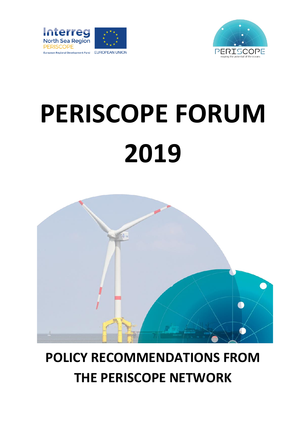



# **PERISCOPE FORUM 2019**



## **POLICY RECOMMENDATIONS FROM THE PERISCOPE NETWORK**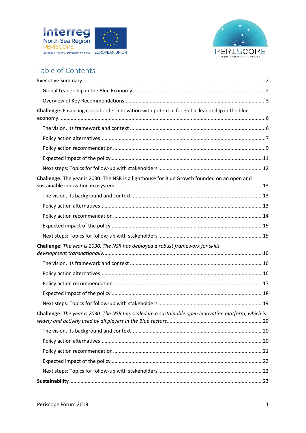



### Table of Contents

| Challenge: Financing cross-border innovation with potential for global leadership in the blue       |  |
|-----------------------------------------------------------------------------------------------------|--|
|                                                                                                     |  |
|                                                                                                     |  |
|                                                                                                     |  |
|                                                                                                     |  |
|                                                                                                     |  |
|                                                                                                     |  |
| Challenge: The year is 2030. The NSR is a lighthouse for Blue Growth founded on an open and         |  |
|                                                                                                     |  |
|                                                                                                     |  |
|                                                                                                     |  |
|                                                                                                     |  |
|                                                                                                     |  |
| Challenge: The year is 2030. The NSR has deployed a robust framework for skills                     |  |
|                                                                                                     |  |
|                                                                                                     |  |
|                                                                                                     |  |
|                                                                                                     |  |
|                                                                                                     |  |
| Challenge: The year is 2030. The NSR has scaled up a sustainable open innovation platform, which is |  |
|                                                                                                     |  |
|                                                                                                     |  |
|                                                                                                     |  |
|                                                                                                     |  |
|                                                                                                     |  |
|                                                                                                     |  |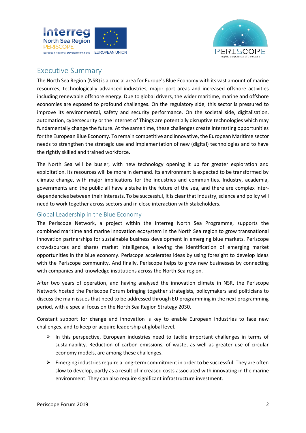



#### <span id="page-2-0"></span>Executive Summary

The North Sea Region (NSR) is a crucial area for Europe's Blue Economy with its vast amount of marine resources, technologically advanced industries, major port areas and increased offshore activities including renewable offshore energy. Due to global drivers, the wider maritime, marine and offshore economies are exposed to profound challenges. On the regulatory side, this sector is pressured to improve its environmental, safety and security performance. On the societal side, digitalisation, automation, cybersecurity or the Internet of Things are potentially disruptive technologies which may fundamentally change the future. At the same time, these challenges create interesting opportunities for the European Blue Economy. To remain competitive and innovative, the European Maritime sector needs to strengthen the strategic use and implementation of new (digital) technologies and to have the rightly skilled and trained workforce.

The North Sea will be busier, with new technology opening it up for greater exploration and exploitation. Its resources will be more in demand. Its environment is expected to be transformed by climate change, with major implications for the industries and communities. Industry, academia, governments and the public all have a stake in the future of the sea, and there are complex interdependencies between their interests. To be successful, it is clear that industry, science and policy will need to work together across sectors and in close interaction with stakeholders.

#### <span id="page-2-1"></span>Global Leadership in the Blue Economy

The Periscope Network, a project within the Interreg North Sea Programme, supports the combined maritime and marine innovation ecosystem in the North Sea region to grow transnational innovation partnerships for sustainable business development in emerging blue markets. Periscope crowdsources and shares market intelligence, allowing the identification of emerging market opportunities in the blue economy. Periscope accelerates ideas by using foresight to develop ideas with the Periscope community. And finally, Periscope helps to grow new businesses by connecting with companies and knowledge institutions across the North Sea region.

After two years of operation, and having analysed the innovation climate in NSR, the Periscope Network hosted the Periscope Forum bringing together strategists, policymakers and politicians to discuss the main issues that need to be addressed through EU programming in the next programming period, with a special focus on the North Sea Region Strategy 2030.

Constant support for change and innovation is key to enable European industries to face new challenges, and to keep or acquire leadership at global level.

- ➢ In this perspective, European industries need to tackle important challenges in terms of sustainability. Reduction of carbon emissions, of waste, as well as greater use of circular economy models, are among these challenges.
- ➢ Emerging industries require a long-term commitment in order to be successful. They are often slow to develop, partly as a result of increased costs associated with innovating in the marine environment. They can also require significant infrastructure investment.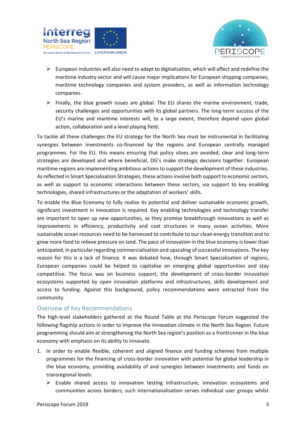



- $\triangleright$  European industries will also need to adapt to digitalisation, which will affect and redefine the maritime industry sector and will cause major implications for European shipping companies, maritime technology companies and system providers, as well as information technology companies.
- $\triangleright$  Finally, the blue growth issues are global. The EU shares the marine environment, trade, security challenges and opportunities with its global partners. The long-term success of the EU's marine and maritime interests will, to a large extent, therefore depend upon global action, collaboration and a level playing field.

To tackle all these challenges the EU strategy for the North Sea must be instrumental in facilitating synergies between investments co-financed by the regions and European centrally managed programmes. For the EU, this means ensuring that policy siloes are avoided, clear and long-term strategies are developed and where beneficial, DG's make strategic decisions together. European maritime regions are implementing ambitious actions to support the development of these industries. As reflected in Smart Specialisation Strategies, these actions involve both support to economic sectors, as well as support to economic interactions between these sectors, via support to key enabling technologies, shared infrastructures or the adaptation of workers' skills.

To enable the Blue Economy to fully realise its potential and deliver sustainable economic growth, significant investment in innovation is required. Key enabling technologies and technology transfer are important to open up new opportunities, as they promise breakthrough innovations as well as improvements in efficiency, productivity and cost structures in many ocean activities. More sustainable ocean resources need to be harnessed to contribute to our clean energy transition and to grow more food to relieve pressure on land. The pace of innovation in the blue economy is lower than anticipated, in particular regarding commercialisation and upscaling of successful innovations. The key reason for this is a lack of finance. It was debated how, through Smart Specialization of regions, European companies could be helped to capitalise on emerging global opportunities and stay competitive. The focus was on business support, the development of cross-border innovation ecosystems supported by open innovation platforms and infrastructures, skills development and access to funding. Against this background, policy recommendations were extracted from the community.

#### <span id="page-3-0"></span>Overview of Key Recommendations

The high-level stakeholders gathered at the Round Table at the Periscope Forum suggested the following flagship actions in order to improve the innovation climate in the North Sea Region. Future programming should aim at strengthening the North Sea region's position as a frontrunner in the blue economy with emphasis on its ability to innovate.

- 1. In order to enable flexible, coherent and aligned finance and funding schemes from multiple programmes for the financing of cross-border innovation with potential for global leadership in the blue economy, providing availability of and synergies between investments and funds on transregional levels:
	- $\triangleright$  Enable shared access to innovation testing infrastructure, innovation ecosystems and communities across borders; such internationalisation serves individual user groups whilst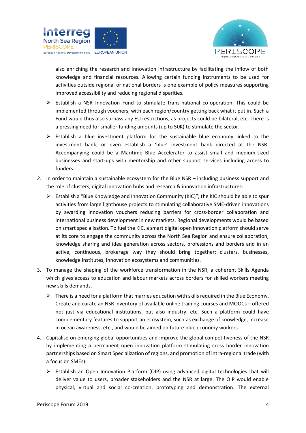



also enriching the research and innovation infrastructure by facilitating the inflow of both knowledge and financial resources. Allowing certain funding instruments to be used for activities outside regional or national borders is one example of policy measures supporting improved accessibility and reducing regional disparities.

- ➢ Establish a NSR Innovation Fund to stimulate trans-national co-operation. This could be implemented through vouchers, with each region/country getting back what it put in. Such a Fund would thus also surpass any EU restrictions, as projects could be bilateral, etc. There is a pressing need for smaller funding amounts (up to 50K) to stimulate the sector.
- $\triangleright$  Establish a blue investment platform for the sustainable blue economy linked to the investment bank, or even establish a 'blue' investment bank directed at the NSR. Accompanying could be a Maritime Blue Accelerator to assist small and medium-sized businesses and start-ups with mentorship and other support services including access to funders.
- *2.* In order to maintain a sustainable ecosystem for the Blue NSR including business support and the role of clusters, digital innovation hubs and research & innovation infrastructures:
	- $\triangleright$  Establish a "Blue Knowledge and Innovation Community (KIC)"; the KIC should be able to spur activities from large lighthouse projects to stimulating collaborative SME-driven innovations by awarding innovation vouchers reducing barriers for cross-border collaboration and international business development in new markets. Regional developments would be based on smart specialisation. To fuel the KIC, a smart digital open innovation platform should serve at its core to engage the community across the North Sea Region and ensure collaboration, knowledge sharing and idea generation across sectors, professions and borders and in an active, continuous, brokerage way they should bring together: clusters, businesses, knowledge institutes, innovation ecosystems and communities.
- 3. To manage the shaping of the workforce transformation in the NSR, a coherent Skills Agenda which gives access to education and labour markets across borders for skilled workers meeting new skills demands.
	- $\triangleright$  There is a need for a platform that marries education with skills required in the Blue Economy. Create and curate an NSR inventory of available online training courses and MOOCs – offered not just via educational institutions, but also industry, etc. Such a platform could have complementary features to support an ecosystem, such as exchange of knowledge, increase in ocean awareness, etc., and would be aimed on future blue economy workers.
- 4. Capitalise on emerging global opportunities and improve the global competitiveness of the NSR by implementing a permanent open innovation platform stimulating cross border innovation partnerships based on Smart Specialization of regions, and promotion of intra-regional trade (with a focus on SMEs):
	- ➢ Establish an Open Innovation Platform (OIP) using advanced digital technologies that will deliver value to users, broader stakeholders and the NSR at large. The OIP would enable physical, virtual and social co-creation, prototyping and demonstration. The external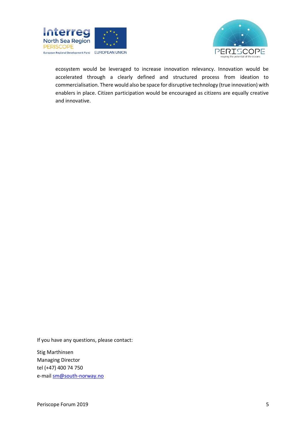



ecosystem would be leveraged to increase innovation relevancy. Innovation would be accelerated through a clearly defined and structured process from ideation to commercialisation. There would also be space for disruptive technology (true innovation) with enablers in place. Citizen participation would be encouraged as citizens are equally creative and innovative.

If you have any questions, please contact:

Stig Marthinsen Managing Director tel (+47) 400 74 750 e-mai[l sm@south-norway.no](mailto:sm@south-norway.no)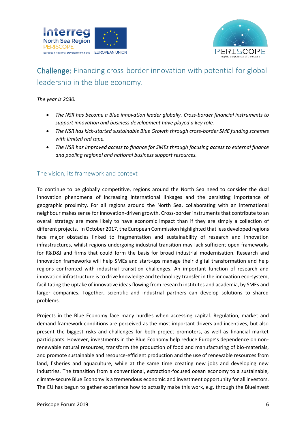



## <span id="page-6-0"></span>Challenge: Financing cross-border innovation with potential for global leadership in the blue economy.

#### *The year is 2030.*

- *The NSR has become a Blue innovation leader globally. Cross-border financial instruments to support innovation and business development have played a key role.*
- *The NSR has kick-started sustainable Blue Growth through cross-border SME funding schemes with limited red tape.*
- *The NSR has improved access to finance for SMEs through focusing access to external finance and pooling regional and national business support resources.*

#### <span id="page-6-1"></span>The vision, its framework and context

To continue to be globally competitive, regions around the North Sea need to consider the dual innovation phenomena of increasing international linkages and the persisting importance of geographic proximity. For all regions around the North Sea, collaborating with an international neighbour makes sense for innovation-driven growth. Cross-border instruments that contribute to an overall strategy are more likely to have economic impact than if they are simply a collection of different projects. In October 2017, the European Commission highlighted that less developed regions face major obstacles linked to fragmentation and sustainability of research and innovation infrastructures, whilst regions undergoing industrial transition may lack sufficient open frameworks for R&D&I and firms that could form the basis for broad industrial modernisation. Research and innovation frameworks will help SMEs and start-ups manage their digital transformation and help regions confronted with industrial transition challenges. An important function of research and innovation infrastructure is to drive knowledge and technology transfer in the innovation eco-system, facilitating the uptake of innovative ideas flowing from research institutes and academia, by SMEs and larger companies. Together, scientific and industrial partners can develop solutions to shared problems.

Projects in the Blue Economy face many hurdles when accessing capital. Regulation, market and demand framework conditions are perceived as the most important drivers and incentives, but also present the biggest risks and challenges for both project promoters, as well as financial market participants. However, investments in the Blue Economy help reduce Europe's dependence on nonrenewable natural resources, transform the production of food and manufacturing of bio-materials, and promote sustainable and resource-efficient production and the use of renewable resources from land, fisheries and aquaculture, while at the same time creating new jobs and developing new industries. The transition from a conventional, extraction-focused ocean economy to a sustainable, climate-secure Blue Economy is a tremendous economic and investment opportunity for all investors. The EU has begun to gather experience how to actually make this work, e.g. through the BlueInvest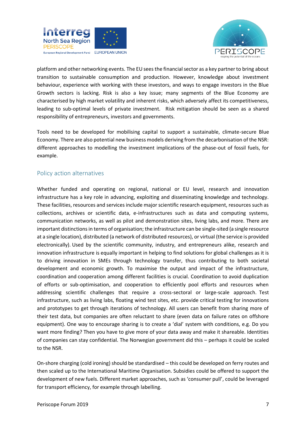



platform and other networking events. The EU sees the financial sector as a key partner to bring about transition to sustainable consumption and production. However, knowledge about investment behaviour, experience with working with these investors, and ways to engage investors in the Blue Growth sectors is lacking. Risk is also a key issue; many segments of the Blue Economy are characterised by high market volatility and inherent risks, which adversely affect its competitiveness, leading to sub-optimal levels of private investment. Risk mitigation should be seen as a shared responsibility of entrepreneurs, investors and governments.

Tools need to be developed for mobilising capital to support a sustainable, climate-secure Blue Economy. There are also potential new business models deriving from the decarbonisation of the NSR: different approaches to modelling the investment implications of the phase-out of fossil fuels, for example.

#### <span id="page-7-0"></span>Policy action alternatives

Whether funded and operating on regional, national or EU level, research and innovation infrastructure has a key role in advancing, exploiting and disseminating knowledge and technology. These facilities, resources and services include major scientific research equipment, resources such as collections, archives or scientific data, e-infrastructures such as data and computing systems, communication networks, as well as pilot and demonstration sites, living labs, and more. There are important distinctions in terms of organisation; the infrastructure can be single-sited (a single resource at a single location), distributed (a network of distributed resources), or virtual (the service is provided electronically). Used by the scientific community, industry, and entrepreneurs alike, research and innovation infrastructure is equally important in helping to find solutions for global challenges as it is to driving innovation in SMEs through technology transfer, thus contributing to both societal development and economic growth. To maximise the output and impact of the infrastructure, coordination and cooperation among different facilities is crucial. Coordination to avoid duplication of efforts or sub-optimisation, and cooperation to efficiently pool efforts and resources when addressing scientific challenges that require a cross-sectoral or large-scale approach.  Test infrastructure, such as living labs, floating wind test sites, etc. provide critical testing for innovations and prototypes to get through iterations of technology. All users can benefit from sharing more of their test data, but companies are often reluctant to share (even data on failure rates on offshore equipment). One way to encourage sharing is to create a 'dial' system with conditions, e.g. Do you want more finding? Then you have to give more of your data away and make it shareable. Identities of companies can stay confidential. The Norwegian government did this – perhaps it could be scaled to the NSR.

On-shore charging (cold ironing) should be standardised – this could be developed on ferry routes and then scaled up to the International Maritime Organisation. Subsidies could be offered to support the development of new fuels. Different market approaches, such as 'consumer pull', could be leveraged for transport efficiency, for example through labelling.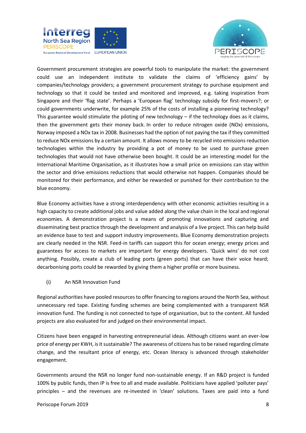



Government procurement strategies are powerful tools to manipulate the market: the government could use an independent institute to validate the claims of 'efficiency gains' by companies/technology providers; a government procurement strategy to purchase equipment and technology so that it could be tested and monitored and improved, e.g. taking inspiration from Singapore and their 'flag state'. Perhaps a 'European flag' technology subsidy for first-movers?; or could governments underwrite, for example 25% of the costs of installing a pioneering technology? This guarantee would stimulate the piloting of new technology – if the technology does as it claims, then the government gets their money back. In order to reduce nitrogen oxide (NOx) emissions, Norway imposed a NOx tax in 2008. Businesses had the option of not paying the tax if they committed to reduce NOx emissions by a certain amount. It allows money to be recycled into emissions reduction technologies within the industry by providing a pot of money to be used to purchase green technologies that would not have otherwise been bought. It could be an interesting model for the International Maritime Organisation, as it illustrates how a small price on emissions can stay within the sector and drive emissions reductions that would otherwise not happen. Companies should be monitored for their performance, and either be rewarded or punished for their contribution to the blue economy.

Blue Economy activities have a strong interdependency with other economic activities resulting in a high capacity to create additional jobs and value added along the value chain in the local and regional economies. A demonstration project is a means of promoting innovations and capturing and disseminating best practice through the development and analysis of a live project. This can help build an evidence base to test and support industry improvements. Blue Economy demonstration projects are clearly needed in the NSR. Feed-in tariffs can support this for ocean energy; energy prices and guarantees for access to markets are important for energy developers. 'Quick wins' do not cost anything. Possibly, create a club of leading ports (green ports) that can have their voice heard; decarbonising ports could be rewarded by giving them a higher profile or more business.

(i) An NSR Innovation Fund

Regional authorities have pooled resources to offer financing to regions around the North Sea, without unnecessary red tape. Existing funding schemes are being complemented with a transparent NSR innovation fund. The funding is not connected to type of organisation, but to the content. All funded projects are also evaluated for and judged on their environmental impact.

Citizens have been engaged in harvesting entrepreneurial ideas. Although citizens want an ever-low price of energy per KWH, is it sustainable? The awareness of citizens has to be raised regarding climate change, and the resultant price of energy, etc. Ocean literacy is advanced through stakeholder engagement.

Governments around the NSR no longer fund non-sustainable energy. If an R&D project is funded 100% by public funds, then IP is free to all and made available. Politicians have applied 'polluter pays' principles – and the revenues are re-invested in 'clean' solutions. Taxes are paid into a fund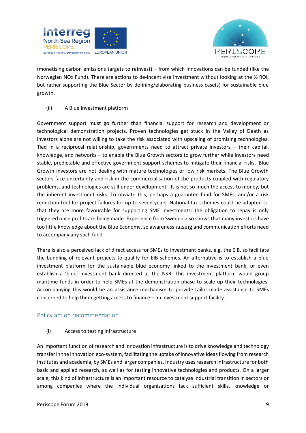



(monetising carbon emissions targets to reinvest) – from which innovations can be funded (like the Norwegian NOx Fund). There are actions to de-incentivise investment without looking at the % ROI, but rather supporting the Blue Sector by defining/elaborating business case(s) for sustainable blue growth.

#### (ii) A Blue Investment platform

Government support must go further than financial support for research and development or technological demonstration projects. Proven technologies get stuck in the Valley of Death as investors alone are not willing to take the risk associated with upscaling of promising technologies. Tied in a reciprocal relationship, governments need to attract private investors – their capital, knowledge, and networks – to enable the Blue Growth sectors to grow further while investors need stable, predictable and effective government support schemes to mitigate their financial risks. Blue Growth investors are not dealing with mature technologies or low risk markets. The Blue Growth sectors face uncertainty and risk in the commercialisation of the products coupled with regulatory problems, and technologies are still under development. It is not so much the access to money, but the inherent investment risks. To obviate this, perhaps a guarantee fund for SMEs, and/or a risk reduction tool for project failures for up to seven years. National tax schemes could be adapted so that they are more favourable for supporting SME investments: the obligation to repay is only triggered once profits are being made. Experience from Sweden also shows that many investors have too little knowledge about the Blue Economy, so awareness raising and communication efforts need to accompany any such fund.

There is also a perceived lack of direct access for SMEs to investment banks, e.g. the EIB, so facilitate the bundling of relevant projects to qualify for EIB schemes. An alternative is to establish a blue investment platform for the sustainable blue economy linked to the investment bank, or even establish a 'blue' investment bank directed at the NSR. This investment platform would group maritime funds in order to help SMEs at the demonstration phase to scale up their technologies. Accompanying this would be an assistance mechanism to provide tailor-made assistance to SMEs concerned to help them getting access to finance – an investment support facility.

#### <span id="page-9-0"></span>Policy action recommendation

#### (i) Access to testing infrastructure

An important function of research and innovation infrastructure is to drive knowledge and technology transfer in the innovation eco-system, facilitating the uptake of innovative ideas flowing from research institutes and academia, by SMEs and larger companies. Industry uses research infrastructure for both basic and applied research, as well as for testing innovative technologies and products. On a larger scale, this kind of infrastructure is an important resource to catalyse industrial transition in sectors or among companies where the individual organisations lack sufficient skills, knowledge or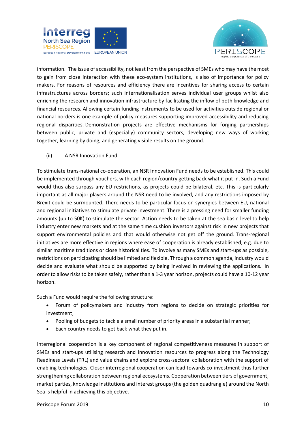



information.  The issue of accessibility, not least from the perspective of SMEs who may have the most to gain from close interaction with these eco-system institutions, is also of importance for policy makers. For reasons of resources and efficiency there are incentives for sharing access to certain infrastructures across borders; such internationalisation serves individual user groups whilst also enriching the research and innovation infrastructure by facilitating the inflow of both knowledge and financial resources. Allowing certain funding instruments to be used for activities outside regional or national borders is one example of policy measures supporting improved accessibility and reducing regional disparities. Demonstration projects are effective mechanisms for forging partnerships between public, private and (especially) community sectors, developing new ways of working together, learning by doing, and generating visible results on the ground.

#### (ii) A NSR Innovation Fund

To stimulate trans-national co-operation, an NSR Innovation Fund needs to be established. This could be implemented through vouchers, with each region/country getting back what it put in. Such a Fund would thus also surpass any EU restrictions, as projects could be bilateral, etc. This is particularly important as all major players around the NSR need to be involved, and any restrictions imposed by Brexit could be surmounted. There needs to be particular focus on synergies between EU, national and regional initiatives to stimulate private investment. There is a pressing need for smaller funding amounts (up to 50K) to stimulate the sector. Action needs to be taken at the sea basin level to help industry enter new markets and at the same time cushion investors against risk in new projects that support environmental policies and that would otherwise not get off the ground. Trans-regional initiatives are more effective in regions where ease of cooperation is already established, e.g. due to similar maritime traditions or close historical ties. To involve as many SMEs and start-ups as possible, restrictions on participating should be limited and flexible. Through a common agenda, industry would decide and evaluate what should be supported by being involved in reviewing the applications. In order to allow risks to be taken safely, rather than a 1-3 year horizon, projects could have a 10-12 year horizon.

Such a Fund would require the following structure:

- Forum of policymakers and industry from regions to decide on strategic priorities for investment;
- Pooling of budgets to tackle a small number of priority areas in a substantial manner;
- Each country needs to get back what they put in.

Interregional cooperation is a key component of regional competitiveness measures in support of SMEs and start-ups utilising research and innovation resources to progress along the Technology Readiness Levels (TRL) and value chains and explore cross-sectoral collaboration with the support of enabling technologies. Closer interregional cooperation can lead towards co-investment thus further strengthening collaboration between regional ecosystems. Cooperation between tiers of government, market parties, knowledge institutions and interest groups (the golden quadrangle) around the North Sea is helpful in achieving this objective.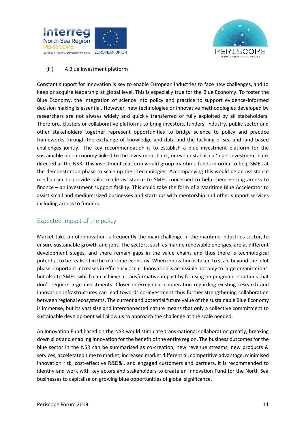



#### (iii) A Blue Investment platform

Constant support for innovation is key to enable European industries to face new challenges, and to keep or acquire leadership at global level. This is especially true for the Blue Economy. To foster the Blue Economy, the integration of science into policy and practice to support evidence-informed decision making is essential. However, new technologies or innovative methodologies developed by researchers are not always widely and quickly transferred or fully exploited by all stakeholders. Therefore, clusters or collaborative platforms to bring investors, funders, industry, public sector and other stakeholders together represent opportunities to bridge science to policy and practice frameworks through the exchange of knowledge and data and the tackling of sea and land-based challenges jointly. The key recommendation is to establish a blue investment platform for the sustainable blue economy linked to the investment bank, or even establish a 'blue' investment bank directed at the NSR. This investment platform would group maritime funds in order to help SMEs at the demonstration phase to scale up their technologies. Accompanying this would be an assistance mechanism to provide tailor-made assistance to SMEs concerned to help them getting access to finance – an investment support facility. This could take the form of a Maritime Blue Accelerator to assist small and medium-sized businesses and start-ups with mentorship and other support services including access to funders.

#### <span id="page-11-0"></span>Expected impact of the policy

Market take-up of innovation is frequently the main challenge in the maritime industries sector, to ensure sustainable growth and jobs. The sectors, such as marine renewable energies, are at different development stages, and there remain gaps in the value chains and thus there is technological potential to be realised in the maritime economy. When innovation is taken to scale beyond the pilot phase, important increases in efficiency occur. Innovation is accessible not only to large organisations, but also to SMEs, which can achieve a transformative impact by focusing on pragmatic solutions that don't require large investments. Closer interregional cooperation regarding existing research and innovation infrastructures can lead towards co-investment thus further strengthening collaboration between regional ecosystems. The current and potential future value of the sustainable Blue Economy is immense, but its vast size and interconnected nature means that only a collective commitment to sustainable development will allow us to approach the challenge at the scale needed.

An Innovation Fund based on the NSR would stimulate trans-national collaboration greatly, breaking down silos and enabling innovation for the benefit of the entire region. The business outcomes for the blue sector in the NSR can be summarised as co-creation, new revenue streams, new products & services, accelerated time to market, increased market differential, competitive advantage, minimised innovation risk, cost-effective R&D&I, and engaged customers and partners. It is recommended to identify and work with key actors and stakeholders to create an Innovation Fund for the North Sea businesses to capitalise on growing blue opportunities of global significance.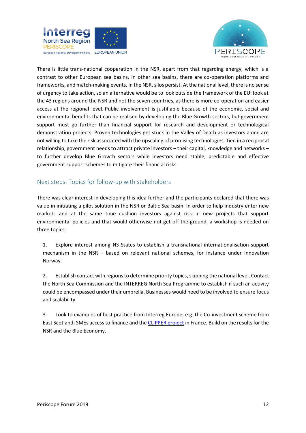



There is little trans-national cooperation in the NSR, apart from that regarding energy, which is a contrast to other European sea basins. In other sea basins, there are co-operation platforms and frameworks, and match-making events. In the NSR, silos persist. At the national level, there is no sense of urgency to take action, so an alternative would be to look outside the framework of the EU: look at the 43 regions around the NSR and not the seven countries, as there is more co-operation and easier access at the regional level. Public involvement is justifiable because of the economic, social and environmental benefits that can be realised by developing the Blue Growth sectors, but government support must go further than financial support for research and development or technological demonstration projects. Proven technologies get stuck in the Valley of Death as investors alone are not willing to take the risk associated with the upscaling of promising technologies. Tied in a reciprocal relationship, government needs to attract private investors – their capital, knowledge and networks – to further develop Blue Growth sectors while investors need stable, predictable and effective government support schemes to mitigate their financial risks.

#### <span id="page-12-0"></span>Next steps: Topics for follow-up with stakeholders

There was clear interest in developing this idea further and the participants declared that there was value in initiating a pilot solution in the NSR or Baltic Sea basin. In order to help industry enter new markets and at the same time cushion investors against risk in new projects that support environmental policies and that would otherwise not get off the ground, a workshop is needed on three topics:

1. Explore interest among NS States to establish a transnational internationalisation-support mechanism in the NSR – based on relevant national schemes, for instance under Innovation Norway.

2. Establish contact with regions to determine priority topics, skipping the national level. Contact the North Sea Commission and the INTERREG North Sea Programme to establish if such an activity could be encompassed under their umbrella. Businesses would need to be involved to ensure focus and scalability.

3. Look to examples of best practice from Interreg Europe, e.g. the Co-investment scheme from East Scotland: SMEs access to finance and th[e CLIPPER project](https://www.interregeurope.eu/policylearning/good-practices/item/2725/pays-de-la-loire-garantie/) in France. Build on the results for the NSR and the Blue Economy.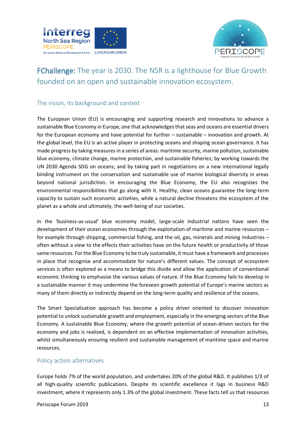



## <span id="page-13-0"></span>FChallenge: The year is 2030. The NSR is a lighthouse for Blue Growth founded on an open and sustainable innovation ecosystem.

#### <span id="page-13-1"></span>The vision, its background and context

The European Union (EU) is encouraging and supporting research and innovations to advance a sustainable Blue Economy in Europe, one that acknowledges that seas and oceans are essential drivers for the European economy and have potential for further – sustainable – innovation and growth. At the global level, the EU is an active player in protecting oceans and shaping ocean governance. It has made progress by taking measures in a series of areas: maritime security, marine pollution, sustainable blue economy, climate change, marine protection, and sustainable fisheries; by working towards the UN 2030 Agenda SDG on oceans; and by taking part in negotiations on a new international legally binding instrument on the conservation and sustainable use of marine biological diversity in areas beyond national jurisdiction. In encouraging the Blue Economy, the EU also recognises the environmental responsibilities that go along with it. Healthy, clean oceans guarantee the long-term capacity to sustain such economic activities, while a natural decline threatens the ecosystem of the planet as a whole and ultimately, the well-being of our societies.

In the 'business-as-usual' blue economy model, large-scale industrial nations have seen the development of their ocean economies through the exploitation of maritime and marine resources – for example through shipping, commercial fishing, and the oil, gas, minerals and mining industries – often without a view to the effects their activities have on the future health or productivity of those same resources. For the Blue Economy to be truly sustainable, it must have a framework and processes in place that recognise and accommodate for nature's different values. The concept of ecosystem services is often explored as a means to bridge this divide and allow the application of conventional economic thinking to emphasise the various values of nature. If the Blue Economy fails to develop in a sustainable manner it may undermine the foreseen growth potential of Europe's marine sectors as many of them directly or indirectly depend on the long-term quality and resilience of the oceans.

The Smart Specialisation approach has become a policy driver oriented to discover innovation potential to unlock sustainable growth and employment, especially in the emerging sectors of the Blue Economy. A sustainable Blue Economy, where the growth potential of ocean-driven sectors for the economy and jobs is realised, is dependent on an effective implementation of innovation activities, whilst simultaneously ensuring resilient and sustainable management of maritime space and marine resources.

#### <span id="page-13-2"></span>Policy action alternatives

Europe holds 7% of the world population, and undertakes 20% of the global R&D. It publishes 1/3 of all high-quality scientific publications. Despite its scientific excellence it lags in business R&D investment, where it represents only 1.3% of the global investment. These facts tell us that resources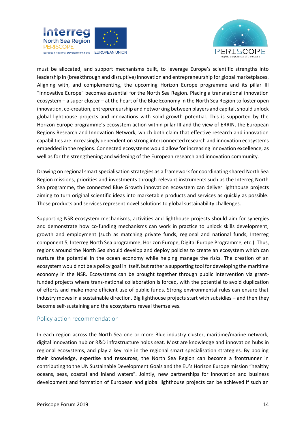



must be allocated, and support mechanisms built, to leverage Europe's scientific strengths into leadership in (breakthrough and disruptive) innovation and entrepreneurship for global marketplaces. Aligning with, and complementing, the upcoming Horizon Europe programme and its pillar III "Innovative Europe" becomes essential for the North Sea Region. Placing a transnational innovation ecosystem – a super cluster – at the heart of the Blue Economy in the North Sea Region to foster open innovation, co-creation, entrepreneurship and networking between players and capital, should unlock global lighthouse projects and innovations with solid growth potential. This is supported by the Horizon Europe programme's ecosystem action within pillar III and the view of ERRIN, the European Regions Research and Innovation Network, which both claim that effective research and innovation capabilities are increasingly dependent on strong interconnected research and innovation ecosystems embedded in the regions. Connected ecosystems would allow for increasing innovation excellence, as well as for the strengthening and widening of the European research and innovation community.

Drawing on regional smart specialisation strategies as a framework for coordinating shared North Sea Region missions, priorities and investments through relevant instruments such as the Interreg North Sea programme, the connected Blue Growth innovation ecosystem can deliver lighthouse projects aiming to turn original scientific ideas into marketable products and services as quickly as possible. Those products and services represent novel solutions to global sustainability challenges.

Supporting NSR ecosystem mechanisms, activities and lighthouse projects should aim for synergies and demonstrate how co-funding mechanisms can work in practice to unlock skills development, growth and employment (such as matching private funds, regional and national funds, Interreg component 5, Interreg North Sea programme, Horizon Europe, Digital Europe Programme, etc.). Thus, regions around the North Sea should develop and deploy policies to create an ecosystem which can nurture the potential in the ocean economy while helping manage the risks. The creation of an ecosystem would not be a policy goal in itself, but rather a supporting tool for developing the maritime economy in the NSR. Ecosystems can be brought together through public intervention via grantfunded projects where trans-national collaboration is forced, with the potential to avoid duplication of efforts and make more efficient use of public funds. Strong environmental rules can ensure that industry moves in a sustainable direction. Big lighthouse projects start with subsidies – and then they become self-sustaining and the ecosystems reveal themselves.

#### <span id="page-14-0"></span>Policy action recommendation

In each region across the North Sea one or more Blue industry cluster, maritime/marine network, digital innovation hub or R&D infrastructure holds seat. Most are knowledge and innovation hubs in regional ecosystems, and play a key role in the regional smart specialisation strategies. By pooling their knowledge, expertise and resources, the North Sea Region can become a frontrunner in contributing to the UN Sustainable Development Goals and the EU's Horizon Europe mission "healthy oceans, seas, coastal and inland waters". Jointly, new partnerships for innovation and business development and formation of European and global lighthouse projects can be achieved if such an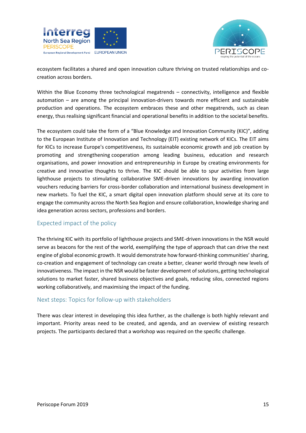



ecosystem facilitates a shared and open innovation culture thriving on trusted relationships and cocreation across borders.

Within the Blue Economy three technological megatrends – connectivity, intelligence and flexible automation – are among the principal innovation-drivers towards more efficient and sustainable production and operations. The ecosystem embraces these and other megatrends, such as clean energy, thus realising significant financial and operational benefits in addition to the societal benefits.

The ecosystem could take the form of a "Blue Knowledge and Innovation Community (KIC)", adding to the European Institute of Innovation and Technology (EIT) existing network of KICs. The EIT aims for KICs to increase Europe's competitiveness, its sustainable economic growth and job creation by promoting and strengthening cooperation among leading business, education and research organisations, and power innovation and entrepreneurship in Europe by creating environments for creative and innovative thoughts to thrive. The KIC should be able to spur activities from large lighthouse projects to stimulating collaborative SME-driven innovations by awarding innovation vouchers reducing barriers for cross-border collaboration and international business development in new markets. To fuel the KIC, a smart digital open innovation platform should serve at its core to engage the community across the North Sea Region and ensure collaboration, knowledge sharing and idea generation across sectors, professions and borders.

#### <span id="page-15-0"></span>Expected impact of the policy

The thriving KIC with its portfolio of lighthouse projects and SME-driven innovations in the NSR would serve as beacons for the rest of the world, exemplifying the type of approach that can drive the next engine of global economic growth. It would demonstrate how forward-thinking communities' sharing, co-creation and engagement of technology can create a better, cleaner world through new levels of innovativeness. The impact in the NSR would be faster development of solutions, getting technological solutions to market faster, shared business objectives and goals, reducing silos, connected regions working collaboratively, and maximising the impact of the funding.

#### <span id="page-15-1"></span>Next steps: Topics for follow-up with stakeholders

There was clear interest in developing this idea further, as the challenge is both highly relevant and important. Priority areas need to be created, and agenda, and an overview of existing research projects. The participants declared that a workshop was required on the specific challenge.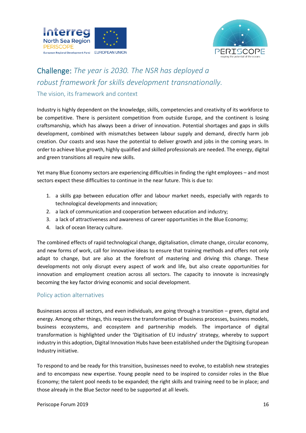



## <span id="page-16-0"></span>Challenge: *The year is 2030. The NSR has deployed a robust framework for skills development transnationally.*

#### <span id="page-16-1"></span>The vision, its framework and context

Industry is highly dependent on the knowledge, skills, competencies and creativity of its workforce to be competitive. There is persistent competition from outside Europe, and the continent is losing craftsmanship, which has always been a driver of innovation. Potential shortages and gaps in skills development, combined with mismatches between labour supply and demand, directly harm job creation. Our coasts and seas have the potential to deliver growth and jobs in the coming years. In order to achieve blue growth, highly qualified and skilled professionals are needed. The energy, digital and green transitions all require new skills.

Yet many Blue Economy sectors are experiencing difficulties in finding the right employees – and most sectors expect these difficulties to continue in the near future. This is due to:

- 1. a skills gap between education offer and labour market needs, especially with regards to technological developments and innovation;
- 2. a lack of communication and cooperation between education and industry;
- 3. a lack of attractiveness and awareness of career opportunities in the Blue Economy;
- 4. lack of ocean literacy culture.

The combined effects of rapid technological change, digitalisation, climate change, circular economy, and new forms of work, call for innovative ideas to ensure that training methods and offers not only adapt to change, but are also at the forefront of mastering and driving this change. These developments not only disrupt every aspect of work and life, but also create opportunities for innovation and employment creation across all sectors. The capacity to innovate is increasingly becoming the key factor driving economic and social development.

#### <span id="page-16-2"></span>Policy action alternatives

Businesses across all sectors, and even individuals, are going through a transition – green, digital and energy. Among other things, this requires the transformation of business processes, business models, business ecosystems, and ecosystem and partnership models. The importance of digital transformation is highlighted under the 'Digitisation of EU industry' strategy, whereby to support industry in this adoption, Digital Innovation Hubs have been established under the Digitising European Industry initiative.

To respond to and be ready for this transition, businesses need to evolve, to establish new strategies and to encompass new expertise. Young people need to be inspired to consider roles in the Blue Economy; the talent pool needs to be expanded; the right skills and training need to be in place; and those already in the Blue Sector need to be supported at all levels.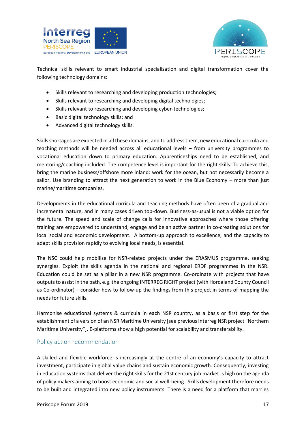



Technical skills relevant to smart industrial specialisation and digital transformation cover the following technology domains:

- Skills relevant to researching and developing production technologies;
- Skills relevant to researching and developing digital technologies;
- Skills relevant to researching and developing cyber-technologies;
- Basic digital technology skills; and
- Advanced digital technology skills.

Skills shortages are expected in all these domains, and to address them, new educational curricula and teaching methods will be needed across all educational levels – from university programmes to vocational education down to primary education. Apprenticeships need to be established, and mentoring/coaching included. The competence level is important for the right skills. To achieve this, bring the marine business/offshore more inland: work for the ocean, but not necessarily become a sailor. Use branding to attract the next generation to work in the Blue Economy – more than just marine/maritime companies.

Developments in the educational curricula and teaching methods have often been of a gradual and incremental nature, and in many cases driven top-down. Business-as-usual is not a viable option for the future. The speed and scale of change calls for innovative approaches where those offering training are empowered to understand, engage and be an active partner in co-creating solutions for local social and economic development. A bottom-up approach to excellence, and the capacity to adapt skills provision rapidly to evolving local needs, is essential.

The NSC could help mobilise for NSR-related projects under the ERASMUS programme, seeking synergies. Exploit the skills agenda in the national and regional ERDF programmes in the NSR. Education could be set as a pillar in a new NSR programme. Co-ordinate with projects that have outputs to assist in the path, e.g. the ongoing INTERREG RIGHT project (with Hordaland County Council as Co-ordinator) – consider how to follow-up the findings from this project in terms of mapping the needs for future skills.

Harmonise educational systems & curricula in each NSR country, as a basis or first step for the establishment of a version of an NSR Maritime University [see previous Interreg NSR project "Northern Maritime University"]. E-platforms show a high potential for scalability and transferability.

#### <span id="page-17-0"></span>Policy action recommendation

A skilled and flexible workforce is increasingly at the centre of an economy's capacity to attract investment, participate in global value chains and sustain economic growth. Consequently, investing in education systems that deliver the right skills for the 21st century job market is high on the agenda of policy makers aiming to boost economic and social well-being. Skills development therefore needs to be built and integrated into new policy instruments. There is a need for a platform that marries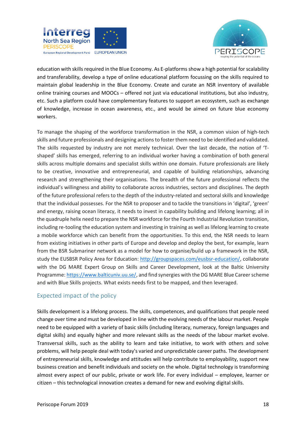



education with skills required in the Blue Economy. As E-platforms show a high potential for scalability and transferability, develop a type of online educational platform focussing on the skills required to maintain global leadership in the Blue Economy. Create and curate an NSR inventory of available online training courses and MOOCs – offered not just via educational institutions, but also industry, etc. Such a platform could have complementary features to support an ecosystem, such as exchange of knowledge, increase in ocean awareness, etc., and would be aimed on future blue economy workers.

To manage the shaping of the workforce transformation in the NSR, a common vision of high-tech skills and future professionals and designing actions to foster them need to be identified and validated. The skills requested by industry are not merely technical. Over the last decade, the notion of 'Tshaped' skills has emerged, referring to an individual worker having a combination of both general skills across multiple domains and specialist skills within one domain. Future professionals are likely to be creative, innovative and entrepreneurial, and capable of building relationships, advancing research and strengthening their organisations. The breadth of the future professional reflects the individual's willingness and ability to collaborate across industries, sectors and disciplines. The depth of the future professional refers to the depth of the industry-related and sectoral skills and knowledge that the individual possesses. For the NSR to proposer and to tackle the transitions in 'digital', 'green' and energy, raising ocean literacy, it needs to invest in capability building and lifelong learning; all in the quadruple helix need to prepare the NSR workforce for the Fourth Industrial Revolution transition, including re-tooling the education system and investing in training as well as lifelong learning to create a mobile workforce which can benefit from the opportunities. To this end, the NSR needs to learn from existing initiatives in other parts of Europe and develop and deploy the best, for example, learn from the BSR Submariner network as a model for how to organise/build up a framework in the NSR, study the EUSBSR Policy Area for Education: [http://groupspaces.com/eusbsr-education/,](http://groupspaces.com/eusbsr-education/) collaborate with the DG MARE Expert Group on Skills and Career Development, look at the Baltic University Programme: [https://www.balticuniv.uu.se/,](https://www.balticuniv.uu.se/) and find synergies with the DG MARE Blue Career scheme and with Blue Skills projects. What exists needs first to be mapped, and then leveraged.

#### <span id="page-18-0"></span>Expected impact of the policy

Skills development is a lifelong process. The skills, competences, and qualifications that people need change over time and must be developed in line with the evolving needs of the labour market. People need to be equipped with a variety of basic skills (including literacy, numeracy, foreign languages and digital skills) and equally higher and more relevant skills as the needs of the labour market evolve. Transversal skills, such as the ability to learn and take initiative, to work with others and solve problems, will help people deal with today's varied and unpredictable career paths. The development of entrepreneurial skills, knowledge and attitudes will help contribute to employability, support new business creation and benefit individuals and society on the whole. Digital technology is transforming almost every aspect of our public, private or work life. For every individual – employee, learner or citizen – this technological innovation creates a demand for new and evolving digital skills.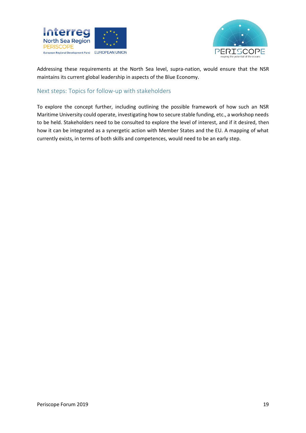



Addressing these requirements at the North Sea level, supra-nation, would ensure that the NSR maintains its current global leadership in aspects of the Blue Economy.

#### <span id="page-19-0"></span>Next steps: Topics for follow-up with stakeholders

To explore the concept further, including outlining the possible framework of how such an NSR Maritime University could operate, investigating how to secure stable funding, etc., a workshop needs to be held. Stakeholders need to be consulted to explore the level of interest, and if it desired, then how it can be integrated as a synergetic action with Member States and the EU. A mapping of what currently exists, in terms of both skills and competences, would need to be an early step.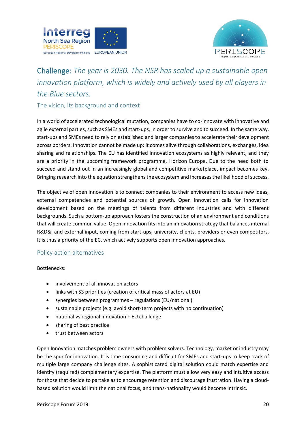



## <span id="page-20-0"></span>Challenge: *The year is 2030. The NSR has scaled up a sustainable open innovation platform, which is widely and actively used by all players in the Blue sectors.*

<span id="page-20-1"></span>The vision, its background and context

In a world of accelerated technological mutation, companies have to co-innovate with innovative and agile external parties, such as SMEs and start-ups, in order to survive and to succeed. In the same way, start-ups and SMEs need to rely on established and larger companies to accelerate their development across borders. Innovation cannot be made up: it comes alive through collaborations, exchanges, idea sharing and relationships. The EU has identified innovation ecosystems as highly relevant, and they are a priority in the upcoming framework programme, Horizon Europe. Due to the need both to succeed and stand out in an increasingly global and competitive marketplace, impact becomes key. Bringing research into the equation strengthens the ecosystem and increases the likelihood of success.

The objective of open innovation is to connect companies to their environment to access new ideas, external competencies and potential sources of growth. Open Innovation calls for innovation development based on the meetings of talents from different industries and with different backgrounds. Such a bottom-up approach fosters the construction of an environment and conditions that will create common value. Open innovation fits into an innovation strategy that balances internal R&D&I and external input, coming from start-ups, university, clients, providers or even competitors. It is thus a priority of the EC, which actively supports open innovation approaches.

#### <span id="page-20-2"></span>Policy action alternatives

Bottlenecks:

- involvement of all innovation actors
- links with S3 priorities (creation of critical mass of actors at EU)
- synergies between programmes regulations (EU/national)
- sustainable projects (e.g. avoid short-term projects with no continuation)
- national vs regional innovation + EU challenge
- sharing of best practice
- trust between actors

Open Innovation matches problem owners with problem solvers. Technology, market or industry may be the spur for innovation. It is time consuming and difficult for SMEs and start-ups to keep track of multiple large company challenge sites. A sophisticated digital solution could match expertise and identify (required) complementary expertise. The platform must allow very easy and intuitive access for those that decide to partake as to encourage retention and discourage frustration. Having a cloudbased solution would limit the national focus, and trans-nationality would become intrinsic.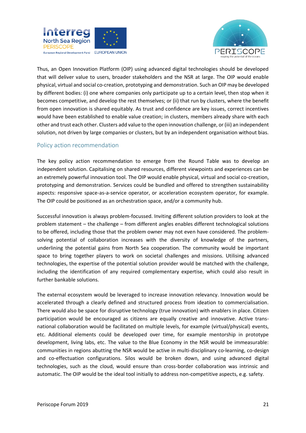



Thus, an Open Innovation Platform (OIP) using advanced digital technologies should be developed that will deliver value to users, broader stakeholders and the NSR at large. The OIP would enable physical, virtual and social co-creation, prototyping and demonstration. Such an OIP may be developed by different bodies: (i) one where companies only participate up to a certain level, then stop when it becomes competitive, and develop the rest themselves; or (ii) that run by clusters, where the benefit from open innovation is shared equitably. As trust and confidence are key issues, correct incentives would have been established to enable value creation; in clusters, members already share with each other and trust each other. Clusters add value to the open innovation challenge, or (iii) an independent solution, not driven by large companies or clusters, but by an independent organisation without bias.

#### <span id="page-21-0"></span>Policy action recommendation

The key policy action recommendation to emerge from the Round Table was to develop an independent solution. Capitalising on shared resources, different viewpoints and experiences can be an extremely powerful innovation tool. The OIP would enable physical, virtual and social co-creation, prototyping and demonstration. Services could be bundled and offered to strengthen sustainability aspects: responsive space-as-a-service operator, or acceleration ecosystem operator, for example. The OIP could be positioned as an orchestration space, and/or a community hub.

Successful innovation is always problem-focussed. Inviting different solution providers to look at the problem statement – the challenge – from different angles enables different technological solutions to be offered, including those that the problem owner may not even have considered. The problemsolving potential of collaboration increases with the diversity of knowledge of the partners, underlining the potential gains from North Sea cooperation. The community would be important space to bring together players to work on societal challenges and missions. Utilising advanced technologies, the expertise of the potential solution provider would be matched with the challenge, including the identification of any required complementary expertise, which could also result in further bankable solutions.

The external ecosystem would be leveraged to increase innovation relevancy. Innovation would be accelerated through a clearly defined and structured process from ideation to commercialisation. There would also be space for disruptive technology (true innovation) with enablers in place. Citizen participation would be encouraged as citizens are equally creative and innovative. Active transnational collaboration would be facilitated on multiple levels, for example (virtual/physical) events, etc. Additional elements could be developed over time, for example mentorship in prototype development, living labs, etc. The value to the Blue Economy in the NSR would be immeasurable: communities in regions abutting the NSR would be active in multi-disciplinary co-learning, co-design and co-effectuation configurations. Silos would be broken down, and using advanced digital technologies, such as the cloud, would ensure than cross-border collaboration was intrinsic and automatic. The OIP would be the ideal tool initially to address non-competitive aspects, e.g. safety.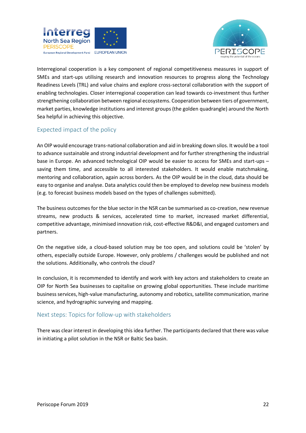



Interregional cooperation is a key component of regional competitiveness measures in support of SMEs and start-ups utilising research and innovation resources to progress along the Technology Readiness Levels (TRL) and value chains and explore cross-sectoral collaboration with the support of enabling technologies. Closer interregional cooperation can lead towards co-investment thus further strengthening collaboration between regional ecosystems. Cooperation between tiers of government, market parties, knowledge institutions and interest groups (the golden quadrangle) around the North Sea helpful in achieving this objective.

#### <span id="page-22-0"></span>Expected impact of the policy

An OIP would encourage trans-national collaboration and aid in breaking down silos. It would be a tool to advance sustainable and strong industrial development and for further strengthening the industrial base in Europe. An advanced technological OIP would be easier to access for SMEs and start-ups – saving them time, and accessible to all interested stakeholders. It would enable matchmaking, mentoring and collaboration, again across borders. As the OIP would be in the cloud, data should be easy to organise and analyse. Data analytics could then be employed to develop new business models (e.g. to forecast business models based on the types of challenges submitted).

The business outcomes for the blue sector in the NSR can be summarised as co-creation, new revenue streams, new products & services, accelerated time to market, increased market differential, competitive advantage, minimised innovation risk, cost-effective R&D&I, and engaged customers and partners.

On the negative side, a cloud-based solution may be too open, and solutions could be 'stolen' by others, especially outside Europe. However, only problems / challenges would be published and not the solutions. Additionally, who controls the cloud?

In conclusion, it is recommended to identify and work with key actors and stakeholders to create an OIP for North Sea businesses to capitalise on growing global opportunities. These include maritime business services, high-value manufacturing, autonomy and robotics, satellite communication, marine science, and hydrographic surveying and mapping.

#### <span id="page-22-1"></span>Next steps: Topics for follow-up with stakeholders

There was clear interest in developing this idea further. The participants declared that there was value in initiating a pilot solution in the NSR or Baltic Sea basin.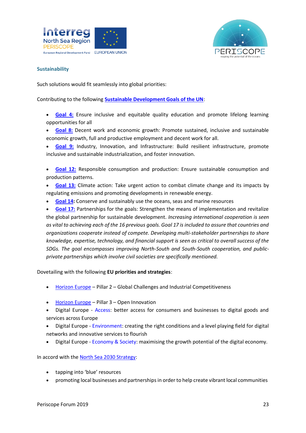



#### <span id="page-23-0"></span>**Sustainability**

Such solutions would fit seamlessly into global priorities:

Contributing to the following **[Sustainable Development Goals of the UN](https://www.un.org/sustainabledevelopment/sustainable-development-goals/)**:

- **[Goal 4:](https://www.un.org/sustainabledevelopment/education/)** Ensure inclusive and equitable quality education and promote lifelong learning opportunities for all
- **[Goal 8:](https://www.un.org/sustainabledevelopment/economic-growth/)** Decent work and economic growth: Promote sustained, inclusive and [sustainable](https://en.wikipedia.org/wiki/Sustainable_development)  [economic growth,](https://en.wikipedia.org/wiki/Sustainable_development) full and productive employment and [decent work](https://en.wikipedia.org/wiki/Decent_work) for all.
- **[Goal 9:](https://www.un.org/sustainabledevelopment/infrastructure-industrialization/)** Industry, Innovation, and Infrastructure: Build resilient infrastructure, promote inclusive and sustainable industrialization, and foster [innovation.](https://en.wikipedia.org/wiki/Innovation)
- **[Goal 12:](https://www.un.org/sustainabledevelopment/sustainable-consumption-production/)** Responsible consumption and production: Ensure [sustainable consumption](https://en.wikipedia.org/wiki/Sustainable_consumption) and production patterns.
- **[Goal 13:](https://www.un.org/sustainabledevelopment/climate-change/)** Climate action: Take urgent action to combat [climate change](https://en.wikipedia.org/wiki/Global_warming) and its impacts by regulatin[g emissions](https://en.wikipedia.org/wiki/Emission_of_greenhouse_gases) and promoting developments in [renewable energy.](https://en.wikipedia.org/wiki/Renewable_energy)
- **[Goal 14:](https://www.un.org/sustainabledevelopment/oceans/)** Conserve and sustainably use the oceans, seas and marine resources
- **[Goal 17:](https://www.un.org/sustainabledevelopment/globalpartnerships/)** Partnerships for the goals: Strengthen the means of implementation and revitalize the global partnership for [sustainable development.](https://en.wikipedia.org/wiki/Sustainable_development) *Increasing [international cooperation](https://en.wikipedia.org/wiki/Multilateralism) is seen as vital to achieving each of the 16 previous goals. Goal 17 is included to assure that countries and organizations cooperate instead of compete. Developing multi-stakeholder partnerships to share knowledge, expertise, technology, and financial support is seen as critical to overall success of the SDGs. The goal encompasses improving North-South and [South-South](https://en.wikipedia.org/wiki/South-South_Cooperation) cooperation, and [public](https://en.wikipedia.org/wiki/Public%E2%80%93private_partnership)[private partnerships](https://en.wikipedia.org/wiki/Public%E2%80%93private_partnership) which involve civil societies are specifically mentioned.*

Dovetailing with the following **EU priorities and strategies**:

- [Horizon Europe](https://ec.europa.eu/info/horizon-europe-next-research-and-innovation-framework-programme_en) Pillar 2 Global Challenges and Industrial Competitiveness
- [Horizon Europe](https://ec.europa.eu/info/horizon-europe-next-research-and-innovation-framework-programme_en) Pillar 3 Open Innovation
- Digital Europe [Access:](https://ec.europa.eu/digital-single-market/en/better-access-consumers-and-business-online-goods) better access for consumers and businesses to digital goods and services across Europe
- Digital Europe [Environment:](https://ec.europa.eu/digital-single-market/en/right-environment-digital-networks-and-services) creating the right conditions and a level playing field for digital networks and innovative services to flourish
- Digital Europe [Economy & Society:](https://ec.europa.eu/digital-single-market/en/economy-society) maximising the growth potential of the digital economy.

In accord with the [North Sea 2030 Strategy:](https://cpmr-northsea.org/policy-work/north-sea-region-strategy-2020/)

- tapping into 'blue' resources
- promoting local businesses and partnerships in order to help create vibrant local communities